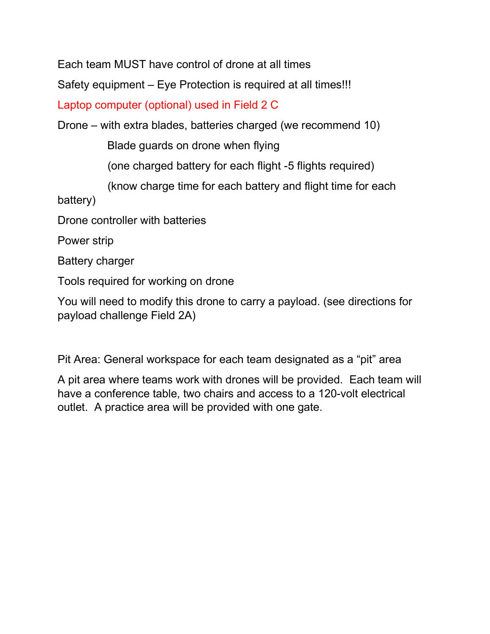Each team MUST have control of drone at all times

Safety equipment – Eye Protection is required at all times!!!

Laptop computer (optional) used in Field 2 C

Drone – with extra blades, batteries charged (we recommend 10)

Blade guards on drone when flying

(one charged battery for each flight -5 flights required)

(know charge time for each battery and flight time for each

battery)

Drone controller with batteries

Power strip

Battery charger

Tools required for working on drone

You will need to modify this drone to carry a payload. (see directions for payload challenge Field 2A)

Pit Area: General workspace for each team designated as a "pit" area

A pit area where teams work with drones will be provided. Each team will have a conference table, two chairs and access to a 120-volt electrical outlet. A practice area will be provided with one gate.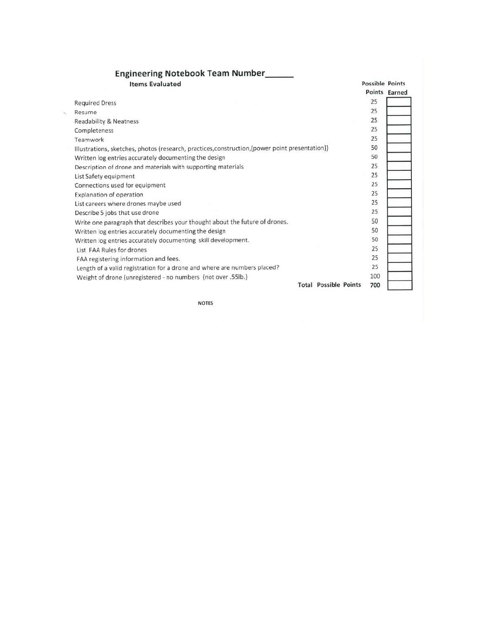|    | <b>Engineering Notebook Team Number______</b><br><b>Items Evaluated</b>                         | <b>Possible Points</b> |               |
|----|-------------------------------------------------------------------------------------------------|------------------------|---------------|
|    |                                                                                                 |                        | Points Earned |
|    | <b>Required Dress</b>                                                                           | 25                     |               |
| ¥, | Resume                                                                                          | 25                     |               |
|    | Readability & Neatness                                                                          | 25                     |               |
|    | Completeness                                                                                    | 25                     |               |
|    | Teamwork                                                                                        | 25                     |               |
|    | Illustrations, sketches, photos (research, practices, construction, {power point presentation}) | 50                     |               |
|    | Written log entries accurately documenting the design                                           | 50                     |               |
|    | Description of drone and materials with supporting materials                                    | 25                     |               |
|    | List Safety equipment                                                                           | 25                     |               |
|    | Connections used for equipment                                                                  | 25                     |               |
|    | Explanation of operation                                                                        | 25                     |               |
|    | List careers where drones maybe used                                                            | 25                     |               |
|    | Describe 5 jobs that use drone                                                                  | 25                     |               |
|    | Write one paragraph that describes your thought about the future of drones.                     | 50                     |               |
|    | Written log entries accurately documenting the design                                           | 50                     |               |
|    | Written log entries accurately documenting skill development.                                   | 50                     |               |
|    | List FAA Rules for drones                                                                       | 25                     |               |
|    | FAA registering information and fees.                                                           | 25                     |               |
|    | Length of a valid registration for a drone and where are numbers placed?                        | 25                     |               |
|    | Weight of drone (unregistered - no numbers {not over .55lb.}                                    | 100                    |               |
|    | <b>Total Possible Points</b>                                                                    | 700                    |               |

**NOTES**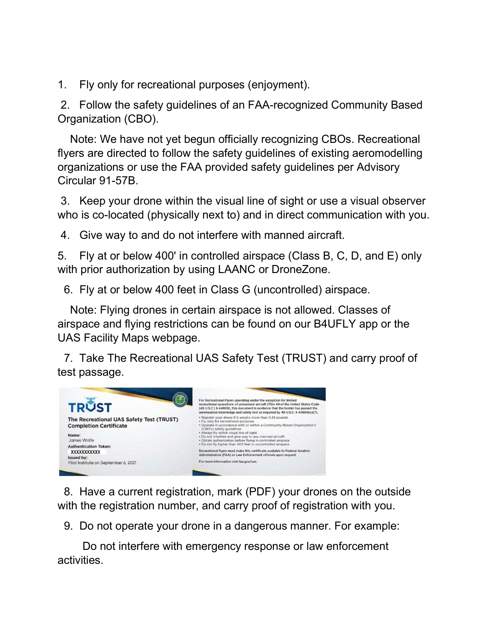1. Fly only for recreational purposes (enjoyment).

 2. Follow the safety guidelines of an FAA-recognized Community Based Organization (CBO).

 Note: We have not yet begun officially recognizing CBOs. Recreational flyers are directed to follow the safety guidelines of existing aeromodelling organizations or use the FAA provided safety guidelines per Advisory Circular 91-57B.

 3. Keep your drone within the visual line of sight or use a visual observer who is co-located (physically next to) and in direct communication with you.

4. Give way to and do not interfere with manned aircraft.

5. Fly at or below 400' in controlled airspace (Class B, C, D, and E) only with prior authorization by using LAANC or DroneZone.

6. Fly at or below 400 feet in Class G (uncontrolled) airspace.

 Note: Flying drones in certain airspace is not allowed. Classes of airspace and flying restrictions can be found on our B4UFLY app or the UAS Facility Maps webpage.

 7. Take The Recreational UAS Safety Test (TRUST) and carry proof of test passage.



 8. Have a current registration, mark (PDF) your drones on the outside with the registration number, and carry proof of registration with you.

9. Do not operate your drone in a dangerous manner. For example:

 Do not interfere with emergency response or law enforcement activities.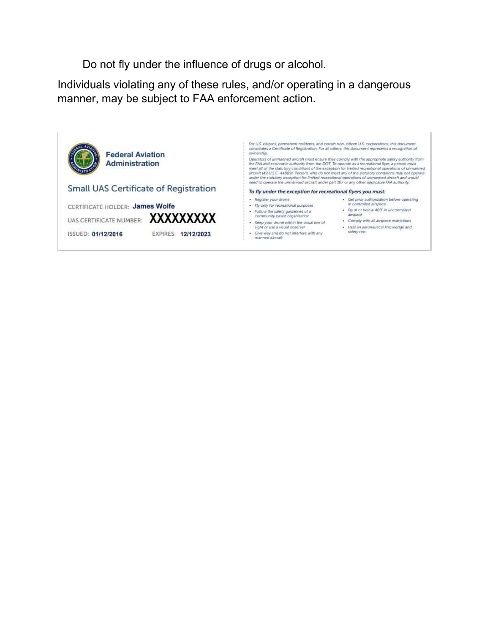Do not fly under the influence of drugs or alcohol.

Individuals violating any of these rules, and/or operating in a dangerous manner, may be subject to FAA enforcement action.